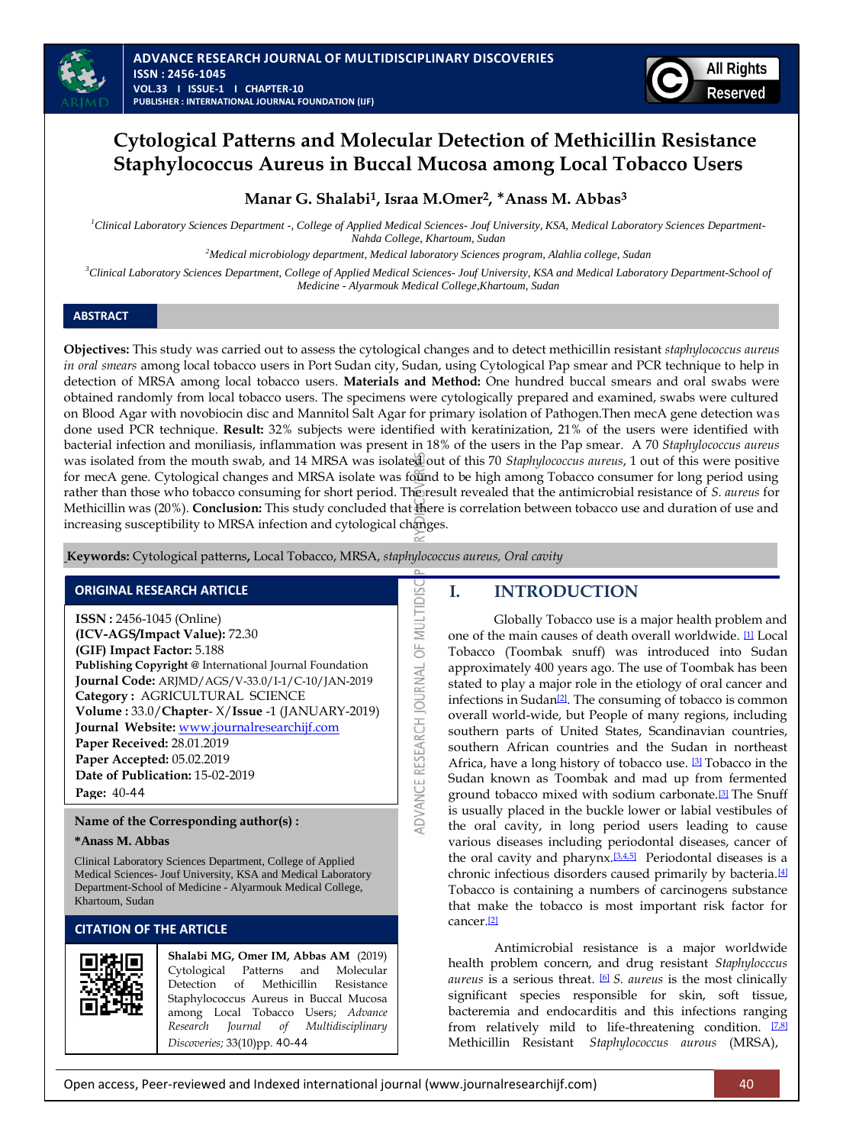

# **Cytological Patterns and Molecular Detection of Methicillin Resistance Staphylococcus Aureus in Buccal Mucosa among Local Tobacco Users**

## **Manar G. Shalabi1, Israa M.Omer2,** \***Anass M. Abbas<sup>3</sup>**

*<sup>1</sup>Clinical Laboratory Sciences Department -, College of Applied Medical Sciences- Jouf University, KSA, Medical Laboratory Sciences Department-Nahda College, Khartoum, Sudan*

*<sup>2</sup>Medical microbiology department, Medical laboratory Sciences program, Alahlia college, Sudan*

*<sup>3</sup>Clinical Laboratory Sciences Department, College of Applied Medical Sciences- Jouf University, KSA and Medical Laboratory Department-School of Medicine - Alyarmouk Medical College,Khartoum, Sudan*

## **ABSTRACT**

**Objectives:** This study was carried out to assess the cytological changes and to detect methicillin resistant *staphylococcus aureus in oral smears* among local tobacco users in Port Sudan city, Sudan, using Cytological Pap smear and PCR technique to help in detection of MRSA among local tobacco users. **Materials and Method:** One hundred buccal smears and oral swabs were obtained randomly from local tobacco users. The specimens were cytologically prepared and examined, swabs were cultured on Blood Agar with novobiocin disc and Mannitol Salt Agar for primary isolation of Pathogen.Then mecA gene detection was done used PCR technique. **Result:** 32% subjects were identified with keratinization, 21% of the users were identified with bacterial infection and moniliasis, inflammation was present in 18% of the users in the Pap smear. A 70 *Staphylococcus aureus*  was isolated from the mouth swab, and 14 MRSA was isolated out of this 70 *Staphylococcus aureus*, 1 out of this were positive for mecA gene. Cytological changes and MRSA isolate was found to be high among Tobacco consumer for long period using rather than those who tobacco consuming for short period. The result revealed that the antimicrobial resistance of *S. aureus* for Methicillin was (20%). **Conclusion:** This study concluded that there is correlation between tobacco use and duration of use and increasing susceptibility to MRSA infection and cytological changes.

ADVANCE RESEARCH JOURNAL OF MULTIDIS

**Keywords:** Cytological patterns**,** Local Tobacco, MRSA, *staphylococcus aureus, Oral cavity*

## **ORIGINAL RESEARCH ARTICLE**

**ISSN :** 2456-1045 (Online) **(ICV-AGS/Impact Value):** 72.30 **(GIF) Impact Factor:** 5.188 **Publishing Copyright @** International Journal Foundation **Journal Code:** ARJMD/AGS/V-33.0/I-1/C-10/JAN-2019 **Category :** AGRICULTURAL SCIENCE **Volume :** 33.0/**Chapter**- X/**Issue** -1 (JANUARY-2019) **Journal Website:** [www.journalresearchijf.com](http://www.journalresearchijf.com/) **Paper Received:** 28.01.2019 **Paper Accepted:** 05.02.2019 **Date of Publication:** 15-02-2019 **Page:** 40-44

## **Name of the Corresponding author(s) :**

### **\*Anass M. Abbas**

Clinical Laboratory Sciences Department, College of Applied Medical Sciences- Jouf University, KSA and Medical Laboratory Department-School of Medicine - Alyarmouk Medical College, Khartoum, Sudan

## **CITATION OF THE ARTICLE**



**Shalabi MG, Omer IM, Abbas AM** (2019) Cytological Patterns and Molecular Detection of Methicillin Resistance Staphylococcus Aureus in Buccal Mucosa among Local Tobacco Users; *Advance Research Journal of Multidisciplinary Discoveries;* 33(10)pp. 40-44

## **I. INTRODUCTION**

Globally Tobacco use is a major health problem and one of the main causes of death overall worldwide. [\[1\]](#page-3-0) Local Tobacco (Toombak snuff) was introduced into Sudan approximately 400 years ago. The use of Toombak has been stated to play a major role in the etiology of oral cancer and infections in Sudan<sup>[\[2\]](#page-3-0)</sup>. The consuming of tobacco is common overall world-wide, but People of many regions, including southern parts of United States, Scandinavian countries, southern African countries and the Sudan in northeast Africa, have a long history of tobacco use. **[\[3\]](#page-3-0)** Tobacco in the Sudan known as Toombak and mad up from fermented ground tobacco mixed with sodium carbonate.[\[3\]](#page-3-0) The Snuff is usually placed in the buckle lower or labial vestibules of the oral cavity, in long period users leading to cause various diseases including periodontal diseases, cancer of the oral cavity and pharynx.<sup>[\[3,4,5\]](#page-3-0)</sup> Periodontal diseases is a chronic infectious disorders caused primarily by bacteria.<sup>[\[4\]](#page-3-0)</sup> Tobacco is containing a numbers of carcinogens substance that make the tobacco is most important risk factor for cancer.[\[2\]](#page-3-0)

Antimicrobial resistance is a major worldwide health problem concern, and drug resistant *Staphylocccus aureus* is a serious threat. [\[6\]](#page-3-0) *S. aureus* is the most clinically significant species responsible for skin, soft tissue, bacteremia and endocarditis and this infections ranging from relatively mild to life-threatening condition. <sup>[\[7,8\]](#page-3-0)</sup> Methicillin Resistant *Staphylococcus aurous* (MRSA),

Open access, Peer-reviewed and Indexed international journal (www.journalresearchijf.com) 40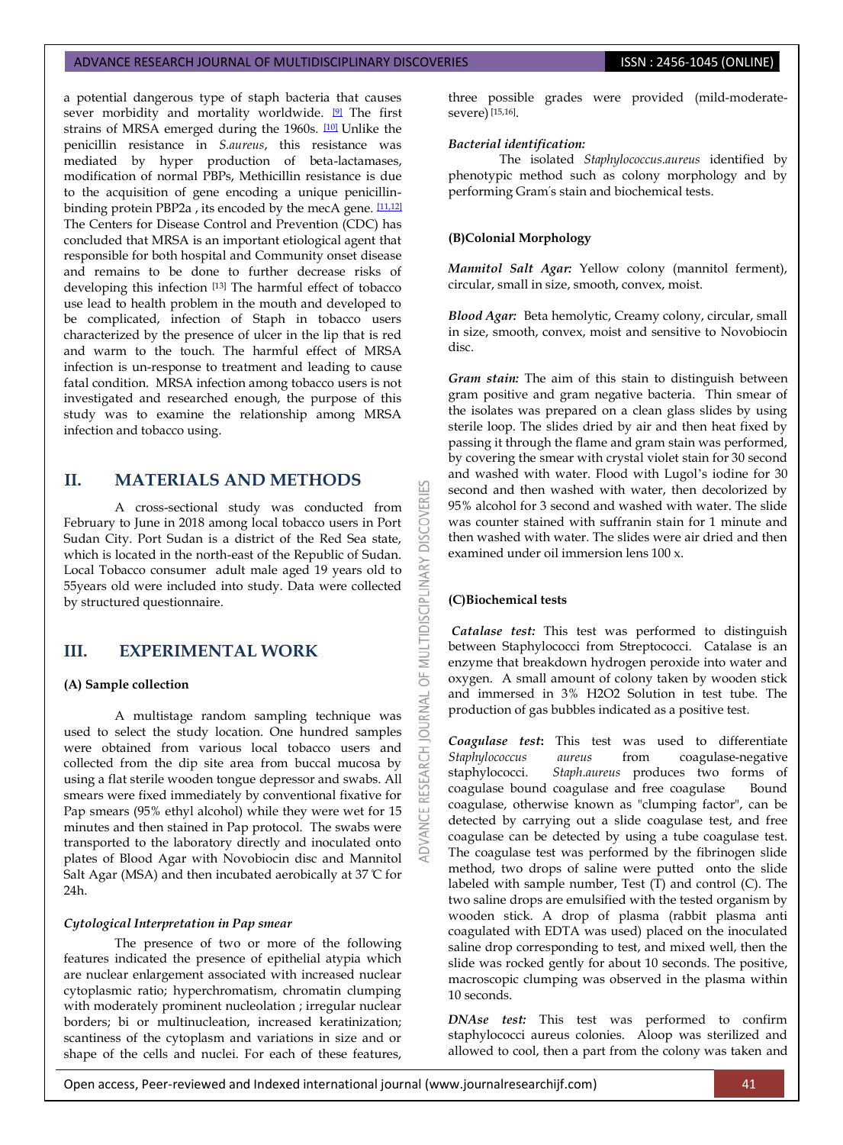## ADVANCE RESEARCH JOURNAL OF MULTIDISCIPLINARY DISCOVERIES **INC. AND SEARCH 1999** ISSN : 2456-1045 (ONLINE)

a potential dangerous type of staph bacteria that causes sever morbidity and mortality worldwide. <sup>[\[9\]](#page-3-0)</sup> The first strains of MRSA emerged during the 1960s. [\[10\]](#page-3-0) Unlike the penicillin resistance in *S.aureus*, this resistance was mediated by hyper production of beta-lactamases, modification of normal PBPs, Methicillin resistance is due to the acquisition of gene encoding a unique penicillinbinding protein PBP2a, its encoded by the mecA gene.  $[11,12]$ The Centers for Disease Control and Prevention (CDC) has concluded that MRSA is an important etiological agent that responsible for both hospital and Community onset disease and remains to be done to further decrease risks of developing this infection [13] The harmful effect of tobacco use lead to health problem in the mouth and developed to be complicated, infection of Staph in tobacco users characterized by the presence of ulcer in the lip that is red and warm to the touch. The harmful effect of MRSA infection is un-response to treatment and leading to cause fatal condition. MRSA infection among tobacco users is not investigated and researched enough, the purpose of this study was to examine the relationship among MRSA infection and tobacco using.

## **II. MATERIALS AND METHODS**

A cross-sectional study was conducted from February to June in 2018 among local tobacco users in Port Sudan City. Port Sudan is a district of the Red Sea state, which is located in the north-east of the Republic of Sudan. Local Tobacco consumer adult male aged 19 years old to 55years old were included into study. Data were collected by structured questionnaire.

## **III. EXPERIMENTAL WORK**

### **(A) Sample collection**

A multistage random sampling technique was used to select the study location. One hundred samples were obtained from various local tobacco users and collected from the dip site area from buccal mucosa by using a flat sterile wooden tongue depressor and swabs. All smears were fixed immediately by conventional fixative for Pap smears (95% ethyl alcohol) while they were wet for 15 minutes and then stained in Pap protocol. The swabs were transported to the laboratory directly and inoculated onto plates of Blood Agar with Novobiocin disc and Mannitol Salt Agar (MSA) and then incubated aerobically at 37  $\mathbb C$  for 24h.

#### *Cytological Interpretation in Pap smear*

The presence of two or more of the following features indicated the presence of epithelial atypia which are nuclear enlargement associated with increased nuclear cytoplasmic ratio; hyperchromatism, chromatin clumping with moderately prominent nucleolation ; irregular nuclear borders; bi or multinucleation, increased keratinization; scantiness of the cytoplasm and variations in size and or shape of the cells and nuclei. For each of these features,

three possible grades were provided (mild-moderatesevere) [15,16].

#### *Bacterial identification:*

The isolated *Staphylococcus.aureus* identified by phenotypic method such as colony morphology and by performing Gram's stain and biochemical tests.

#### **(B)Colonial Morphology**

*Mannitol Salt Agar:* Yellow colony (mannitol ferment), circular, small in size, smooth, convex, moist.

*Blood Agar:* Beta hemolytic, Creamy colony, circular, small in size, smooth, convex, moist and sensitive to Novobiocin disc.

*Gram stain:* The aim of this stain to distinguish between gram positive and gram negative bacteria. Thin smear of the isolates was prepared on a clean glass slides by using sterile loop. The slides dried by air and then heat fixed by passing it through the flame and gram stain was performed, by covering the smear with crystal violet stain for 30 second and washed with water. Flood with Lugol's iodine for 30 second and then washed with water, then decolorized by 95% alcohol for 3 second and washed with water. The slide was counter stained with suffranin stain for 1 minute and then washed with water. The slides were air dried and then examined under oil immersion lens 100 x.

### **(C)Biochemical tests**

53

DISCOVER

OF MULTIDISCIPLINARY

JRNAL  $\overline{0}$ 

*Catalase test:* This test was performed to distinguish between Staphylococci from Streptococci. Catalase is an enzyme that breakdown hydrogen peroxide into water and oxygen. A small amount of colony taken by wooden stick and immersed in 3% H2O2 Solution in test tube. The production of gas bubbles indicated as a positive test.

*Coagulase test***:** This test was used to differentiate *Staphylococcus aureus* from coagulase-negative staphylococci. *Staph.aureus* produces two forms of coagulase bound coagulase and free coagulase Bound coagulase, otherwise known as "clumping factor", can be detected by carrying out a slide coagulase test, and free coagulase can be detected by using a tube coagulase test. The coagulase test was performed by the fibrinogen slide method, two drops of saline were putted onto the slide labeled with sample number, Test  $(T)$  and control (C). The two saline drops are emulsified with the tested organism by wooden stick. A drop of plasma (rabbit plasma anti coagulated with EDTA was used) placed on the inoculated saline drop corresponding to test, and mixed well, then the slide was rocked gently for about 10 seconds. The positive, macroscopic clumping was observed in the plasma within 10 seconds.

*DNAse test:* This test was performed to confirm staphylococci aureus colonies. Aloop was sterilized and allowed to cool, then a part from the colony was taken and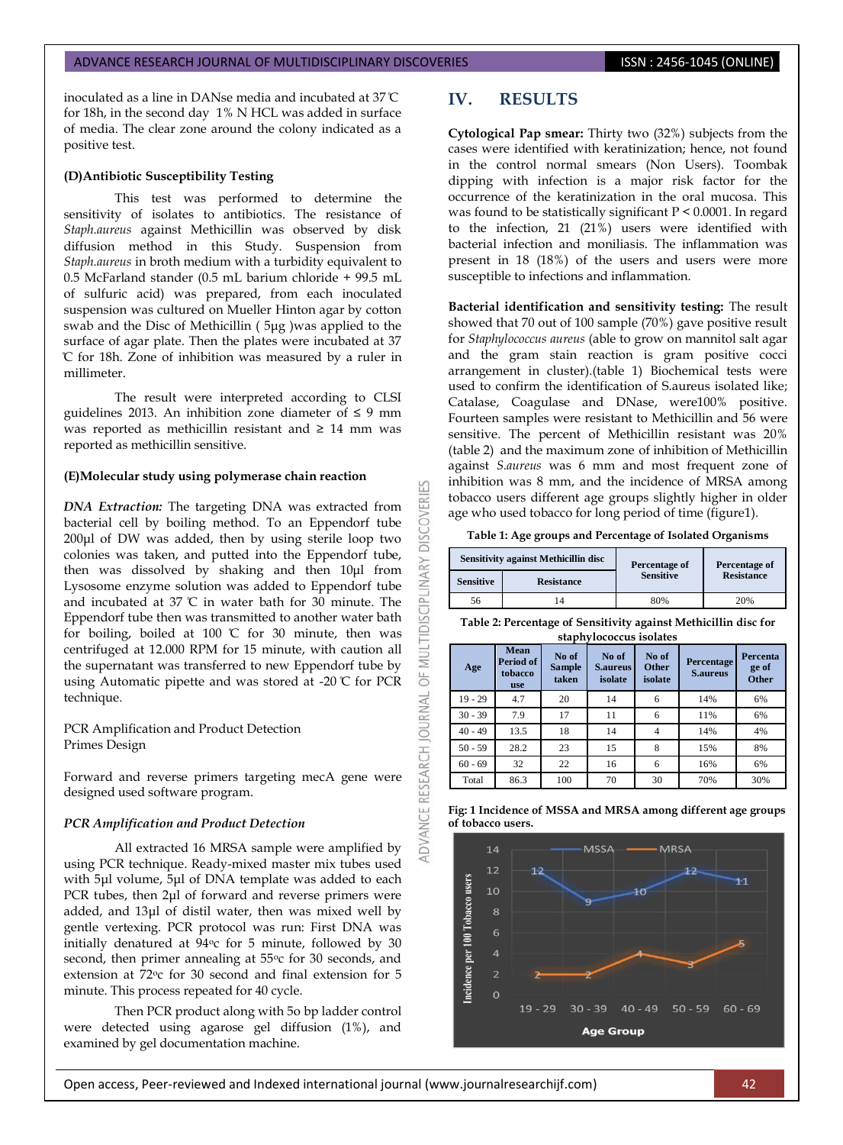#### ADVANCE RESEARCH JOURNAL OF MULTIDISCIPLINARY DISCOVERIES **ISSN : 2456-1045 (ONLINE)**

inoculated as a line in DANse media and incubated at 37 C for 18h, in the second day 1% N HCL was added in surface of media. The clear zone around the colony indicated as a positive test.

#### **(D)Antibiotic Susceptibility Testing**

This test was performed to determine the sensitivity of isolates to antibiotics. The resistance of *Staph.aureus* against Methicillin was observed by disk diffusion method in this Study. Suspension from *Staph.aureus* in broth medium with a turbidity equivalent to 0.5 McFarland stander (0.5 mL barium chloride + 99.5 mL of sulfuric acid) was prepared, from each inoculated suspension was cultured on Mueller Hinton agar by cotton swab and the Disc of Methicillin ( 5μg )was applied to the surface of agar plate. Then the plates were incubated at 37 C for 18h. Zone of inhibition was measured by a ruler in millimeter.

The result were interpreted according to CLSI guidelines 2013. An inhibition zone diameter of  $\leq 9$  mm was reported as methicillin resistant and ≥ 14 mm was reported as methicillin sensitive.

#### **(E)Molecular study using polymerase chain reaction**

*DNA Extraction:* The targeting DNA was extracted from bacterial cell by boiling method. To an Eppendorf tube 200μl of DW was added, then by using sterile loop two colonies was taken, and putted into the Eppendorf tube, then was dissolved by shaking and then 10μl from Lysosome enzyme solution was added to Eppendorf tube and incubated at 37 C in water bath for 30 minute. The Eppendorf tube then was transmitted to another water bath for boiling, boiled at 100  $\mathbb C$  for 30 minute, then was centrifuged at 12.000 RPM for 15 minute, with caution all the supernatant was transferred to new Eppendorf tube by using Automatic pipette and was stored at -20 C for PCR technique.

PCR Amplification and Product Detection Primes Design

Forward and reverse primers targeting mecA gene were designed used software program.

#### *PCR Amplification and Product Detection*

All extracted 16 MRSA sample were amplified by using PCR technique. Ready-mixed master mix tubes used with 5μl volume, 5μl of DNA template was added to each PCR tubes, then 2μl of forward and reverse primers were added, and 13μl of distil water, then was mixed well by gentle vertexing. PCR protocol was run: First DNA was initially denatured at 94°c for 5 minute, followed by 30 second, then primer annealing at 55°c for 30 seconds, and extension at 72oc for 30 second and final extension for 5 minute. This process repeated for 40 cycle.

Then PCR product along with 5o bp ladder control were detected using agarose gel diffusion (1%), and examined by gel documentation machine.

## **IV. RESULTS**

53

**DISCOVERI** 

MULTIDISCIPLINARY

5F

**ADVANCE RESEARCH JOURNAL** 

**Cytological Pap smear:** Thirty two (32%) subjects from the cases were identified with keratinization; hence, not found in the control normal smears (Non Users). Toombak dipping with infection is a major risk factor for the occurrence of the keratinization in the oral mucosa. This was found to be statistically significant P < 0.0001. In regard to the infection, 21 (21%) users were identified with bacterial infection and moniliasis. The inflammation was present in 18 (18%) of the users and users were more susceptible to infections and inflammation.

**Bacterial identification and sensitivity testing:** The result showed that 70 out of 100 sample (70%) gave positive result for *Staphylococcus aureus* (able to grow on mannitol salt agar and the gram stain reaction is gram positive cocci arrangement in cluster).(table 1) Biochemical tests were used to confirm the identification of S.aureus isolated like; Catalase, Coagulase and DNase, were100% positive. Fourteen samples were resistant to Methicillin and 56 were sensitive. The percent of Methicillin resistant was 20% (table 2) and the maximum zone of inhibition of Methicillin against *S.aureus* was 6 mm and most frequent zone of inhibition was 8 mm, and the incidence of MRSA among tobacco users different age groups slightly higher in older age who used tobacco for long period of time (figure1).

**Table 1: Age groups and Percentage of Isolated Organisms**

| <b>Sensitivity against Methicillin disc</b> |                   | Percentage of    | <b>Percentage of</b> |  |
|---------------------------------------------|-------------------|------------------|----------------------|--|
| <b>Sensitive</b>                            | <b>Resistance</b> | <b>Sensitive</b> | <b>Resistance</b>    |  |
| 56                                          |                   | 80%              | 20%                  |  |

**Table 2: Percentage of Sensitivity against Methicillin disc for staphylococcus isolates**

| Age       | <b>Mean</b><br>Period of<br>tobacco<br><b>use</b> | No of<br><b>Sample</b><br>taken | No of<br><b>S.aureus</b><br>isolate | No of<br><b>Other</b><br>isolate | <b>Percentage</b><br><b>S.aureus</b> | Percenta<br>ge of<br><b>Other</b> |
|-----------|---------------------------------------------------|---------------------------------|-------------------------------------|----------------------------------|--------------------------------------|-----------------------------------|
| $19 - 29$ | 4.7                                               | 20                              | 14                                  | 6                                | 14%                                  | 6%                                |
| $30 - 39$ | 7.9                                               | 17                              | 11                                  | 6                                | 11%                                  | 6%                                |
| $40 - 49$ | 13.5                                              | 18                              | 14                                  | 4                                | 14%                                  | 4%                                |
| $50 - 59$ | 28.2                                              | 23                              | 15                                  | 8                                | 15%                                  | 8%                                |
| $60 - 69$ | 32                                                | 22                              | 16                                  | 6                                | 16%                                  | 6%                                |
| Total     | 86.3                                              | 100                             | 70                                  | 30                               | 70%                                  | 30%                               |



**Age Group** 

**Fig: 1 Incidence of MSSA and MRSA among different age groups of tobacco users.**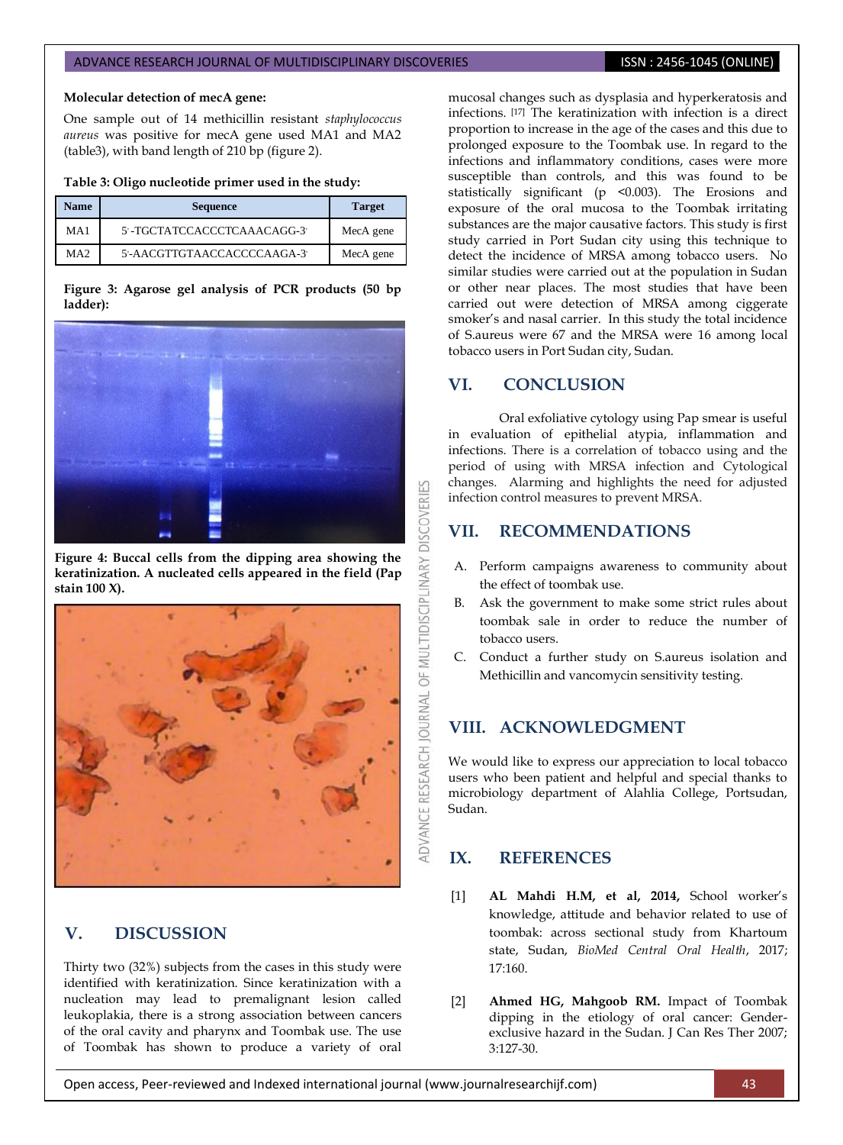#### ADVANCE RESEARCH JOURNAL OF MULTIDISCIPLINARY DISCOVERIES **ISSN : 2456-1045 (ONLINE)**

#### **Molecular detection of mecA gene:**

One sample out of 14 methicillin resistant *staphylococcus aureus* was positive for mecA gene used MA1 and MA2 (table3), with band length of 210 bp (figure 2).

#### **Table 3: Oligo nucleotide primer used in the study:**

| <b>Name</b> | <b>Sequence</b>             | <b>Target</b> |  |
|-------------|-----------------------------|---------------|--|
| MA1         | 5'-TGCTATCCACCCTCAAACAGG-3' | MecA gene     |  |
| MA2         | 5'-AACGTTGTAACCACCCCAAGA-3' | MecA gene     |  |

### **Figure 3: Agarose gel analysis of PCR products (50 bp ladder):**



**Figure 4: Buccal cells from the dipping area showing the keratinization. A nucleated cells appeared in the field (Pap stain 100 X).**



## **V. DISCUSSION**

Thirty two (32%) subjects from the cases in this study were identified with keratinization. Since keratinization with a nucleation may lead to premalignant lesion called leukoplakia, there is a strong association between cancers of the oral cavity and pharynx and Toombak use. The use of Toombak has shown to produce a variety of oral

mucosal changes such as dysplasia and hyperkeratosis and infections. [17] The keratinization with infection is a direct proportion to increase in the age of the cases and this due to prolonged exposure to the Toombak use. In regard to the infections and inflammatory conditions, cases were more susceptible than controls, and this was found to be statistically significant (p <0.003). The Erosions and exposure of the oral mucosa to the Toombak irritating substances are the major causative factors. This study is first study carried in Port Sudan city using this technique to detect the incidence of MRSA among tobacco users. No similar studies were carried out at the population in Sudan or other near places. The most studies that have been carried out were detection of MRSA among ciggerate smoker's and nasal carrier. In this study the total incidence of S.aureus were 67 and the MRSA were 16 among local tobacco users in Port Sudan city, Sudan.

## **VI. CONCLUSION**

OF MULTIDISCIPLINARY DISCOVERIES

**ADVANCE RESEARCH JOURNAL** 

Oral exfoliative cytology using Pap smear is useful in evaluation of epithelial atypia, inflammation and infections. There is a correlation of tobacco using and the period of using with MRSA infection and Cytological changes. Alarming and highlights the need for adjusted infection control measures to prevent MRSA.

## **VII. RECOMMENDATIONS**

- A. Perform campaigns awareness to community about the effect of toombak use.
- B. Ask the government to make some strict rules about toombak sale in order to reduce the number of tobacco users.
- C. Conduct a further study on S.aureus isolation and Methicillin and vancomycin sensitivity testing.

## **VIII. ACKNOWLEDGMENT**

We would like to express our appreciation to local tobacco users who been patient and helpful and special thanks to microbiology department of Alahlia College, Portsudan, Sudan.

## <span id="page-3-0"></span>**IX. REFERENCES**

- [1] **AL Mahdi H.M, et al, 2014,** School worker's knowledge, attitude and behavior related to use of toombak: across sectional study from Khartoum state, Sudan, *BioMed Central Oral Health*, 2017; 17:160.
- [2] **Ahmed HG, Mahgoob RM.** Impact of Toombak dipping in the etiology of oral cancer: Genderexclusive hazard in the Sudan. J Can Res Ther 2007; 3:127-30.

Open access, Peer-reviewed and Indexed international journal (www.journalresearchijf.com) 43